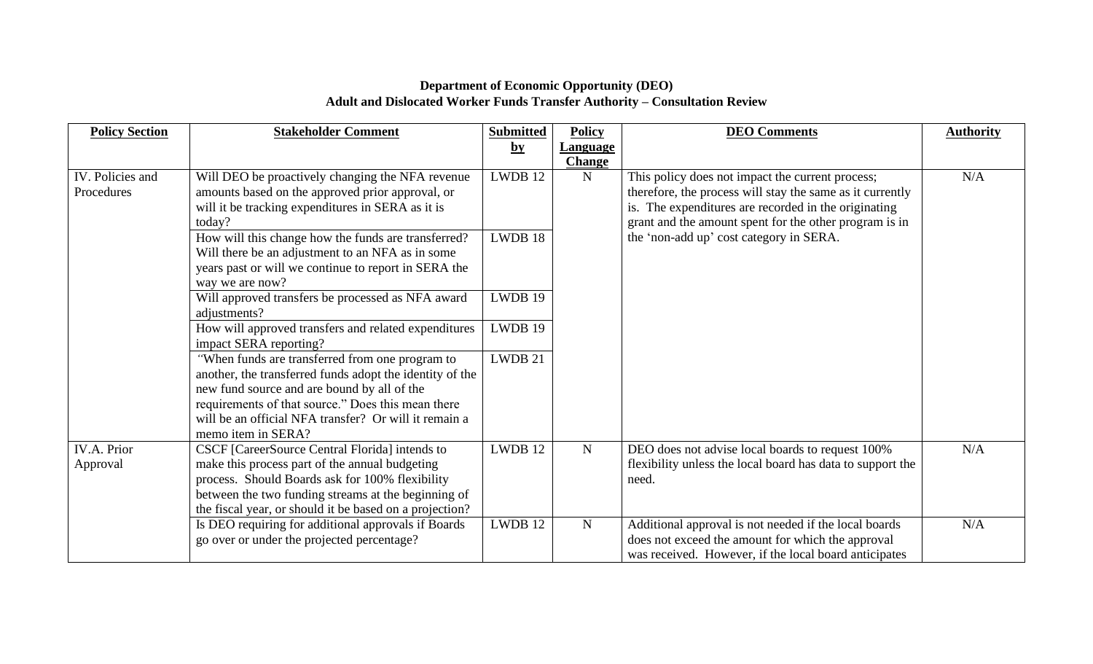## **Department of Economic Opportunity (DEO) Adult and Dislocated Worker Funds Transfer Authority – Consultation Review**

| <b>Policy Section</b> | <b>Stakeholder Comment</b>                               | <b>Submitted</b> | <b>Policy</b>   | <b>DEO</b> Comments                                        | <b>Authority</b> |
|-----------------------|----------------------------------------------------------|------------------|-----------------|------------------------------------------------------------|------------------|
|                       |                                                          | $\mathbf{b}$ y   | <u>Language</u> |                                                            |                  |
|                       |                                                          |                  | <b>Change</b>   |                                                            |                  |
| IV. Policies and      | Will DEO be proactively changing the NFA revenue         | LWDB 12          | ${\bf N}$       | This policy does not impact the current process;           | N/A              |
| Procedures            | amounts based on the approved prior approval, or         |                  |                 | therefore, the process will stay the same as it currently  |                  |
|                       | will it be tracking expenditures in SERA as it is        |                  |                 | is. The expenditures are recorded in the originating       |                  |
|                       | today?                                                   |                  |                 | grant and the amount spent for the other program is in     |                  |
|                       | How will this change how the funds are transferred?      | LWDB 18          |                 | the 'non-add up' cost category in SERA.                    |                  |
|                       | Will there be an adjustment to an NFA as in some         |                  |                 |                                                            |                  |
|                       | years past or will we continue to report in SERA the     |                  |                 |                                                            |                  |
|                       | way we are now?                                          |                  |                 |                                                            |                  |
|                       | Will approved transfers be processed as NFA award        | LWDB 19          |                 |                                                            |                  |
|                       | adjustments?                                             |                  |                 |                                                            |                  |
|                       | How will approved transfers and related expenditures     | LWDB 19          |                 |                                                            |                  |
|                       | impact SERA reporting?                                   |                  |                 |                                                            |                  |
|                       | "When funds are transferred from one program to          | LWDB 21          |                 |                                                            |                  |
|                       | another, the transferred funds adopt the identity of the |                  |                 |                                                            |                  |
|                       | new fund source and are bound by all of the              |                  |                 |                                                            |                  |
|                       | requirements of that source." Does this mean there       |                  |                 |                                                            |                  |
|                       | will be an official NFA transfer? Or will it remain a    |                  |                 |                                                            |                  |
|                       | memo item in SERA?                                       |                  |                 |                                                            |                  |
| IV.A. Prior           | CSCF [CareerSource Central Florida] intends to           | LWDB 12          | $\mathbf N$     | DEO does not advise local boards to request 100%           | N/A              |
| Approval              | make this process part of the annual budgeting           |                  |                 | flexibility unless the local board has data to support the |                  |
|                       | process. Should Boards ask for 100% flexibility          |                  |                 | need.                                                      |                  |
|                       | between the two funding streams at the beginning of      |                  |                 |                                                            |                  |
|                       | the fiscal year, or should it be based on a projection?  |                  |                 |                                                            |                  |
|                       | Is DEO requiring for additional approvals if Boards      | LWDB 12          | $\mathbf N$     | Additional approval is not needed if the local boards      | N/A              |
|                       | go over or under the projected percentage?               |                  |                 | does not exceed the amount for which the approval          |                  |
|                       |                                                          |                  |                 | was received. However, if the local board anticipates      |                  |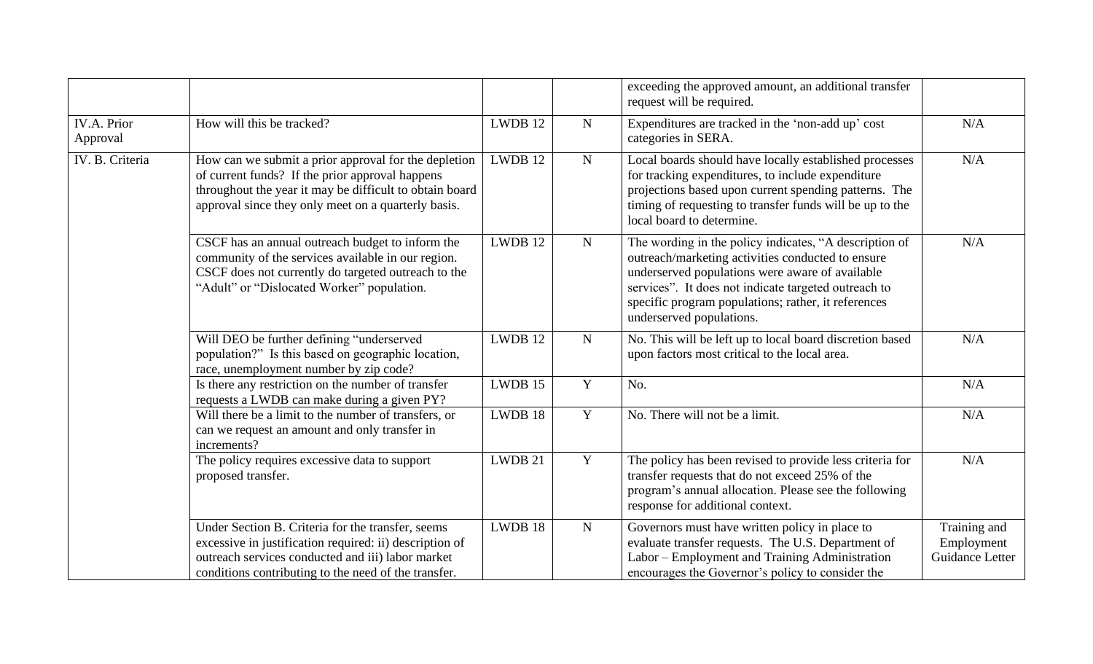|                                |                                                                                                                                                                                                                           |         |             | exceeding the approved amount, an additional transfer<br>request will be required.                                                                                                                                                                                                                        |                                               |
|--------------------------------|---------------------------------------------------------------------------------------------------------------------------------------------------------------------------------------------------------------------------|---------|-------------|-----------------------------------------------------------------------------------------------------------------------------------------------------------------------------------------------------------------------------------------------------------------------------------------------------------|-----------------------------------------------|
| <b>IV.A. Prior</b><br>Approval | How will this be tracked?                                                                                                                                                                                                 | LWDB 12 | ${\bf N}$   | Expenditures are tracked in the 'non-add up' cost<br>categories in SERA.                                                                                                                                                                                                                                  | N/A                                           |
| IV. B. Criteria                | How can we submit a prior approval for the depletion<br>of current funds? If the prior approval happens<br>throughout the year it may be difficult to obtain board<br>approval since they only meet on a quarterly basis. | LWDB 12 | ${\bf N}$   | Local boards should have locally established processes<br>for tracking expenditures, to include expenditure<br>projections based upon current spending patterns. The<br>timing of requesting to transfer funds will be up to the<br>local board to determine.                                             | N/A                                           |
|                                | CSCF has an annual outreach budget to inform the<br>community of the services available in our region.<br>CSCF does not currently do targeted outreach to the<br>"Adult" or "Dislocated Worker" population.               | LWDB 12 | ${\bf N}$   | The wording in the policy indicates, "A description of<br>outreach/marketing activities conducted to ensure<br>underserved populations were aware of available<br>services". It does not indicate targeted outreach to<br>specific program populations; rather, it references<br>underserved populations. | N/A                                           |
|                                | Will DEO be further defining "underserved<br>population?" Is this based on geographic location,<br>race, unemployment number by zip code?                                                                                 | LWDB 12 | ${\bf N}$   | No. This will be left up to local board discretion based<br>upon factors most critical to the local area.                                                                                                                                                                                                 | N/A                                           |
|                                | Is there any restriction on the number of transfer<br>requests a LWDB can make during a given PY?                                                                                                                         | LWDB 15 | $\mathbf Y$ | No.                                                                                                                                                                                                                                                                                                       | N/A                                           |
|                                | Will there be a limit to the number of transfers, or<br>can we request an amount and only transfer in<br>increments?                                                                                                      | LWDB 18 | $\mathbf Y$ | No. There will not be a limit.                                                                                                                                                                                                                                                                            | N/A                                           |
|                                | The policy requires excessive data to support<br>proposed transfer.                                                                                                                                                       | LWDB 21 | Y           | The policy has been revised to provide less criteria for<br>transfer requests that do not exceed 25% of the<br>program's annual allocation. Please see the following<br>response for additional context.                                                                                                  | N/A                                           |
|                                | Under Section B. Criteria for the transfer, seems<br>excessive in justification required: ii) description of<br>outreach services conducted and iii) labor market<br>conditions contributing to the need of the transfer. | LWDB 18 | ${\bf N}$   | Governors must have written policy in place to<br>evaluate transfer requests. The U.S. Department of<br>Labor – Employment and Training Administration<br>encourages the Governor's policy to consider the                                                                                                | Training and<br>Employment<br>Guidance Letter |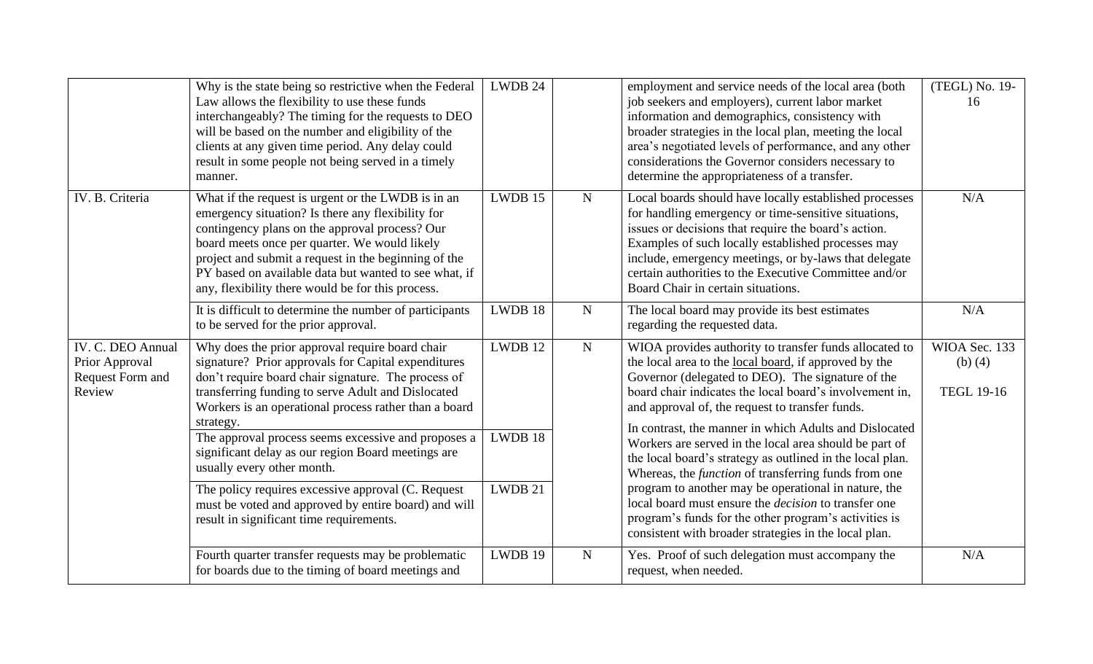|                                                                   | Why is the state being so restrictive when the Federal<br>Law allows the flexibility to use these funds<br>interchangeably? The timing for the requests to DEO<br>will be based on the number and eligibility of the<br>clients at any given time period. Any delay could<br>result in some people not being served in a timely<br>manner.                                                                                                                                                                                                                                                     | LWDB 24                       |             | employment and service needs of the local area (both<br>job seekers and employers), current labor market<br>information and demographics, consistency with<br>broader strategies in the local plan, meeting the local<br>area's negotiated levels of performance, and any other<br>considerations the Governor considers necessary to<br>determine the appropriateness of a transfer.                                                                                                                                                                                                                                                                                                                                                                                               | (TEGL) No. 19-<br>16                            |
|-------------------------------------------------------------------|------------------------------------------------------------------------------------------------------------------------------------------------------------------------------------------------------------------------------------------------------------------------------------------------------------------------------------------------------------------------------------------------------------------------------------------------------------------------------------------------------------------------------------------------------------------------------------------------|-------------------------------|-------------|-------------------------------------------------------------------------------------------------------------------------------------------------------------------------------------------------------------------------------------------------------------------------------------------------------------------------------------------------------------------------------------------------------------------------------------------------------------------------------------------------------------------------------------------------------------------------------------------------------------------------------------------------------------------------------------------------------------------------------------------------------------------------------------|-------------------------------------------------|
| IV. B. Criteria                                                   | What if the request is urgent or the LWDB is in an<br>emergency situation? Is there any flexibility for<br>contingency plans on the approval process? Our<br>board meets once per quarter. We would likely<br>project and submit a request in the beginning of the<br>PY based on available data but wanted to see what, if<br>any, flexibility there would be for this process.                                                                                                                                                                                                               | LWDB 15                       | $\mathbf N$ | Local boards should have locally established processes<br>for handling emergency or time-sensitive situations,<br>issues or decisions that require the board's action.<br>Examples of such locally established processes may<br>include, emergency meetings, or by-laws that delegate<br>certain authorities to the Executive Committee and/or<br>Board Chair in certain situations.                                                                                                                                                                                                                                                                                                                                                                                                | N/A                                             |
|                                                                   | It is difficult to determine the number of participants<br>to be served for the prior approval.                                                                                                                                                                                                                                                                                                                                                                                                                                                                                                | LWDB 18                       | $\mathbf N$ | The local board may provide its best estimates<br>regarding the requested data.                                                                                                                                                                                                                                                                                                                                                                                                                                                                                                                                                                                                                                                                                                     | N/A                                             |
| IV. C. DEO Annual<br>Prior Approval<br>Request Form and<br>Review | Why does the prior approval require board chair<br>signature? Prior approvals for Capital expenditures<br>don't require board chair signature. The process of<br>transferring funding to serve Adult and Dislocated<br>Workers is an operational process rather than a board<br>strategy.<br>The approval process seems excessive and proposes a<br>significant delay as our region Board meetings are<br>usually every other month.<br>The policy requires excessive approval (C. Request<br>must be voted and approved by entire board) and will<br>result in significant time requirements. | LWDB 12<br>LWDB 18<br>LWDB 21 | ${\bf N}$   | WIOA provides authority to transfer funds allocated to<br>the local area to the <u>local board</u> , if approved by the<br>Governor (delegated to DEO). The signature of the<br>board chair indicates the local board's involvement in,<br>and approval of, the request to transfer funds.<br>In contrast, the manner in which Adults and Dislocated<br>Workers are served in the local area should be part of<br>the local board's strategy as outlined in the local plan.<br>Whereas, the <i>function</i> of transferring funds from one<br>program to another may be operational in nature, the<br>local board must ensure the <i>decision</i> to transfer one<br>program's funds for the other program's activities is<br>consistent with broader strategies in the local plan. | WIOA Sec. 133<br>(b) $(4)$<br><b>TEGL 19-16</b> |
|                                                                   | Fourth quarter transfer requests may be problematic                                                                                                                                                                                                                                                                                                                                                                                                                                                                                                                                            | LWDB 19                       | ${\bf N}$   | Yes. Proof of such delegation must accompany the                                                                                                                                                                                                                                                                                                                                                                                                                                                                                                                                                                                                                                                                                                                                    | N/A                                             |
|                                                                   | for boards due to the timing of board meetings and                                                                                                                                                                                                                                                                                                                                                                                                                                                                                                                                             |                               |             | request, when needed.                                                                                                                                                                                                                                                                                                                                                                                                                                                                                                                                                                                                                                                                                                                                                               |                                                 |